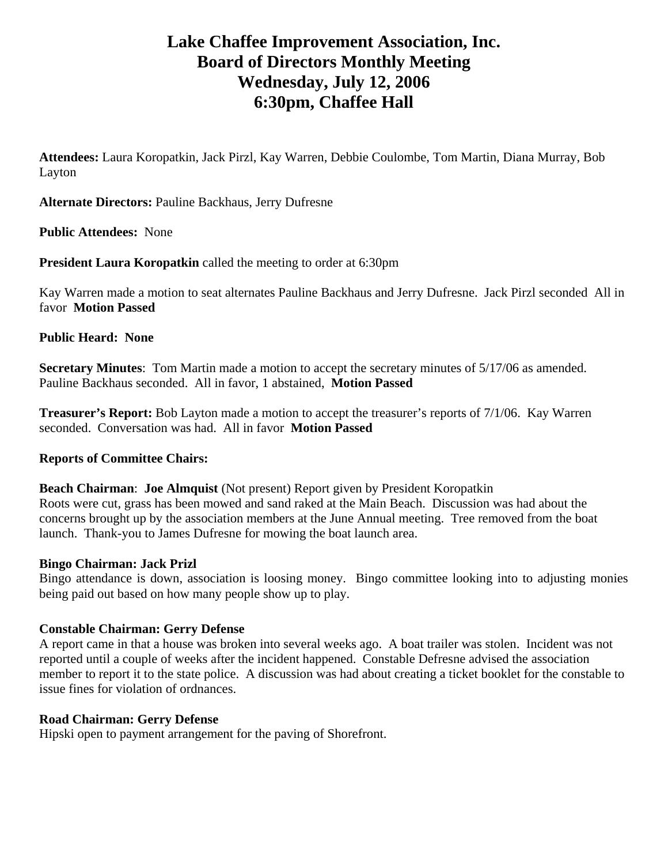# **Lake Chaffee Improvement Association, Inc. Board of Directors Monthly Meeting Wednesday, July 12, 2006 6:30pm, Chaffee Hall**

**Attendees:** Laura Koropatkin, Jack Pirzl, Kay Warren, Debbie Coulombe, Tom Martin, Diana Murray, Bob Layton

**Alternate Directors:** Pauline Backhaus, Jerry Dufresne

**Public Attendees:** None

**President Laura Koropatkin** called the meeting to order at 6:30pm

Kay Warren made a motion to seat alternates Pauline Backhaus and Jerry Dufresne. Jack Pirzl seconded All in favor **Motion Passed** 

## **Public Heard: None**

**Secretary Minutes**: Tom Martin made a motion to accept the secretary minutes of 5/17/06 as amended. Pauline Backhaus seconded. All in favor, 1 abstained, **Motion Passed** 

**Treasurer's Report:** Bob Layton made a motion to accept the treasurer's reports of 7/1/06. Kay Warren seconded. Conversation was had. All in favor **Motion Passed**

## **Reports of Committee Chairs:**

**Beach Chairman**: **Joe Almquist** (Not present) Report given by President Koropatkin Roots were cut, grass has been mowed and sand raked at the Main Beach. Discussion was had about the concerns brought up by the association members at the June Annual meeting. Tree removed from the boat launch. Thank-you to James Dufresne for mowing the boat launch area.

## **Bingo Chairman: Jack Prizl**

Bingo attendance is down, association is loosing money. Bingo committee looking into to adjusting monies being paid out based on how many people show up to play.

## **Constable Chairman: Gerry Defense**

A report came in that a house was broken into several weeks ago. A boat trailer was stolen. Incident was not reported until a couple of weeks after the incident happened. Constable Defresne advised the association member to report it to the state police. A discussion was had about creating a ticket booklet for the constable to issue fines for violation of ordnances.

## **Road Chairman: Gerry Defense**

Hipski open to payment arrangement for the paving of Shorefront.